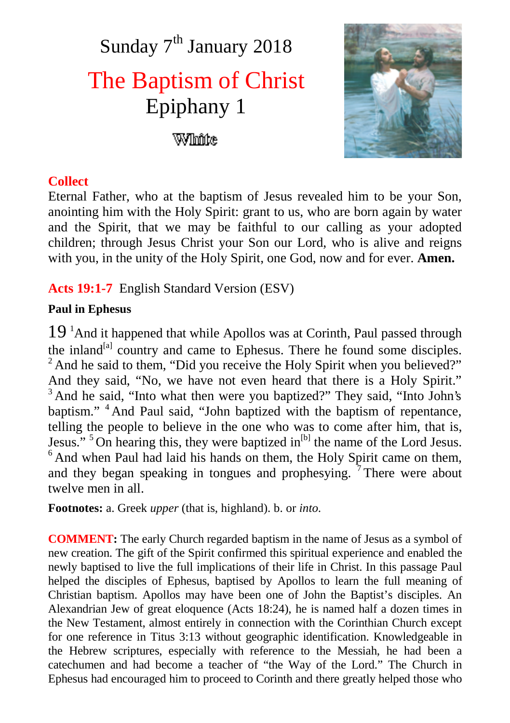# Sunday 7<sup>th</sup> January 2018 The Baptism of Christ Epiphany 1 White



## **Collect**

Eternal Father, who at the baptism of Jesus revealed him to be your Son, anointing him with the Holy Spirit: grant to us, who are born again by water and the Spirit, that we may be faithful to our calling as your adopted children; through Jesus Christ your Son our Lord, who is alive and reigns with you, in the unity of the Holy Spirit, one God, now and for ever. **Amen.**

## **Acts 19:1-7** English Standard Version (ESV)

#### **Paul in Ephesus**

 $19<sup>1</sup>$ And it happened that while Apollos was at Corinth, Paul passed through the inland<sup>[a]</sup> country and came to Ephesus. There he found some disciples. <sup>2</sup> And he said to them, "Did you receive the Holy Spirit when you believed?" And they said, "No, we have not even heard that there is a Holy Spirit." <sup>3</sup> And he said, "Into what then were you baptized?" They said, "Into John's baptism." <sup>4</sup> And Paul said, "John baptized with the baptism of repentance, telling the people to believe in the one who was to come after him, that is, Jesus."  $5$  On hearing this, they were baptized in<sup>[b]</sup> the name of the Lord Jesus.  $6$ And when Paul had laid his hands on them, the Holy Spirit came on them, and they began speaking in tongues and prophesying.  $\frac{1}{7}$  There were about twelve men in all.

**Footnotes:** a. Greek *upper* (that is, highland). b. or *into*.

**COMMENT:** The early Church regarded baptism in the name of Jesus as a symbol of new creation. The gift of the Spirit confirmed this spiritual experience and enabled the newly baptised to live the full implications of their life in Christ. In this passage Paul helped the disciples of Ephesus, baptised by Apollos to learn the full meaning of Christian baptism. Apollos may have been one of John the Baptist's disciples. An Alexandrian Jew of great eloquence (Acts 18:24), he is named half a dozen times in the New Testament, almost entirely in connection with the Corinthian Church except for one reference in Titus 3:13 without geographic identification. Knowledgeable in the Hebrew scriptures, especially with reference to the Messiah, he had been a catechumen and had become a teacher of "the Way of the Lord." The Church in Ephesus had encouraged him to proceed to Corinth and there greatly helped those who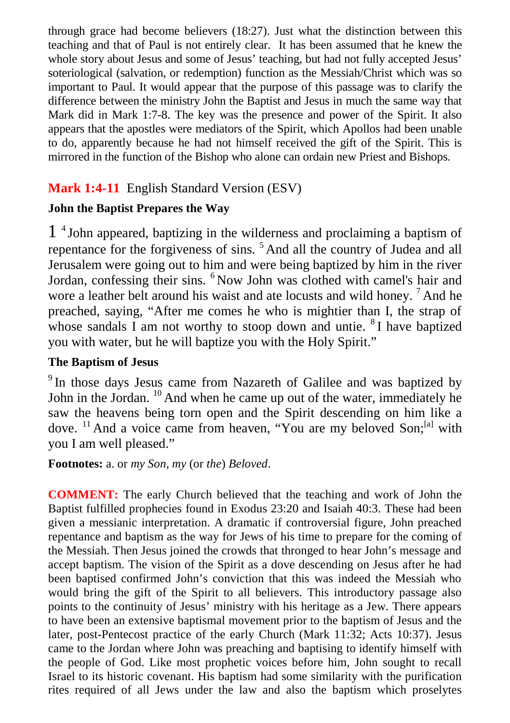through grace had become believers (18:27). Just what the distinction between this teaching and that of Paul is not entirely clear. It has been assumed that he knew the whole story about Jesus and some of Jesus' teaching, but had not fully accepted Jesus' soteriological (salvation, or redemption) function as the Messiah/Christ which was so important to Paul. It would appear that the purpose of this passage was to clarify the difference between the ministry John the Baptist and Jesus in much the same way that Mark did in Mark 1:7-8. The key was the presence and power of the Spirit. It also appears that the apostles were mediators of the Spirit, which Apollos had been unable to do, apparently because he had not himself received the gift of the Spirit. This is mirrored in the function of the Bishop who alone can ordain new Priest and Bishops.

# **Mark 1:4-11** English Standard Version (ESV)

## **John the Baptist Prepares the Way**

1 4 John appeared, baptizing in the wilderness and proclaiming a baptism of repentance for the forgiveness of sins. <sup>5</sup> And all the country of Judea and all Jerusalem were going out to him and were being baptized by him in the river Jordan, confessing their sins. <sup>6</sup> Now John was clothed with camel's hair and wore a leather belt around his waist and ate locusts and wild honey. <sup>7</sup> And he preached, saying, "After me comes he who is mightier than I, the strap of whose sandals  $\overline{I}$  am not worthy to stoop down and untie.  ${}^{8}I$  have baptized you with water, but he will baptize you with the Holy Spirit."

#### **The Baptism of Jesus**

<sup>9</sup> In those days Jesus came from Nazareth of Galilee and was baptized by John in the Jordan. <sup>10</sup> And when he came up out of the water, immediately he saw the heavens being torn open and the Spirit descending on him like a dove.  $^{11}$  And a voice came from heaven, "You are my beloved Son;  $^{[a]}$  with you I am well pleased."

**Footnotes:** a. or *my Son, my* (or *the*) *Beloved*.

**COMMENT:** The early Church believed that the teaching and work of John the Baptist fulfilled prophecies found in Exodus 23:20 and Isaiah 40:3. These had been given a messianic interpretation. A dramatic if controversial figure, John preached repentance and baptism as the way for Jews of his time to prepare for the coming of the Messiah. Then Jesus joined the crowds that thronged to hear John's message and accept baptism. The vision of the Spirit as a dove descending on Jesus after he had been baptised confirmed John's conviction that this was indeed the Messiah who would bring the gift of the Spirit to all believers. This introductory passage also points to the continuity of Jesus' ministry with his heritage as a Jew. There appears to have been an extensive baptismal movement prior to the baptism of Jesus and the later, post-Pentecost practice of the early Church (Mark 11:32; Acts 10:37). Jesus came to the Jordan where John was preaching and baptising to identify himself with the people of God. Like most prophetic voices before him, John sought to recall Israel to its historic covenant. His baptism had some similarity with the purification rites required of all Jews under the law and also the baptism which proselytes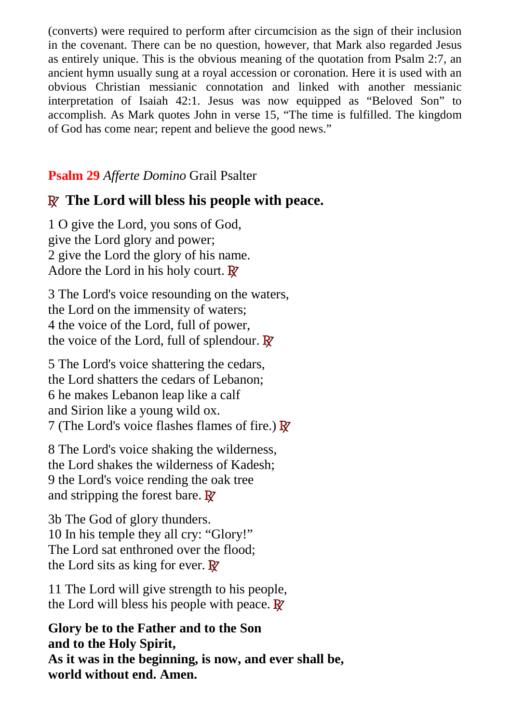(converts) were required to perform after circumcision as the sign of their inclusion in the covenant. There can be no question, however, that Mark also regarded Jesus as entirely unique. This is the obvious meaning of the quotation from Psalm 2:7, an ancient hymn usually sung at a royal accession or coronation. Here it is used with an obvious Christian messianic connotation and linked with another messianic interpretation of Isaiah 42:1. Jesus was now equipped as "Beloved Son" to accomplish. As Mark quotes John in verse 15, "The time is fulfilled. The kingdom of God has come near; repent and believe the good news."

## **Psalm 29** *Afferte Domino* Grail Psalter

# **R The Lord will bless his people with peace.**

1 O give the Lord, you sons of God, give the Lord glory and power; 2 give the Lord the glory of his name. Adore the Lord in his holy court. **R**

3 The Lord's voice resounding on the waters, the Lord on the immensity of waters; 4 the voice of the Lord, full of power, the voice of the Lord, full of splendour. **R**

5 The Lord's voice shattering the cedars, the Lord shatters the cedars of Lebanon; 6 he makes Lebanon leap like a calf and Sirion like a young wild ox. 7 (The Lord's voice flashes flames of fire.) **R**

8 The Lord's voice shaking the wilderness, the Lord shakes the wilderness of Kadesh; 9 the Lord's voice rending the oak tree and stripping the forest bare. **R**

3b The God of glory thunders. 10 In his temple they all cry: "Glory!" The Lord sat enthroned over the flood; the Lord sits as king for ever. **R**

11 The Lord will give strength to his people, the Lord will bless his people with peace. **R**

**Glory be to the Father and to the Son and to the Holy Spirit, As it was in the beginning, is now, and ever shall be, world without end. Amen.**